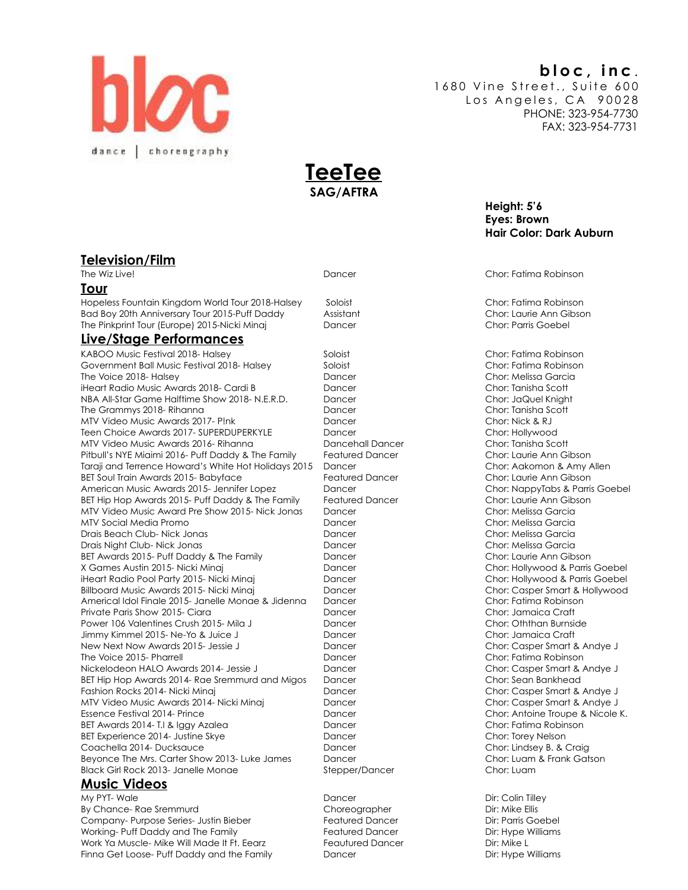# **bloc, inc** .

1680 Vine Street., Suite 600 Los Angeles, CA 90028 PHONE: 323-954-7730 FAX: 323-954-7731





**Television/Film** 

#### **Tour**

Hopeless Fountain Kingdom World Tour 2018-Halsey Soloist Chor: Fatima Robinson Bad Boy 20th Anniversary Tour 2015-Puff Daddy Assistant Chor: Laurie Ann Gibson The Pinkprint Tour (Europe) 2015-Nicki Minaj Dancer Dancer Chor: Parris Goebel

### **Live/Stage Performances**

KABOO Music Festival 2018- Halsey Soloist Soloist Chor: Fatima Robinson Government Ball Music Festival 2018- Halsey Soloist Soloist Chor: Fatima Robinson The Voice 2018- Halsey Dancer Chor: Melissa Garcia iHeart Radio Music Awards 2018- Cardi B Dancer Chor: Tanisha Scott NBA All-Star Game Halftime Show 2018- N.E.R.D. Dancer Chor: JaQuel Knight The Grammys 2018- Rihanna National Chor: Tanisha Scott Chor: Tanisha Scott MTV Video Music Awards 2017- P!nk Dancer Dancer Chor: Nick & RJ Teen Choice Awards 2017- SUPERDUPERKYLE Dancer Dancer Choice Awards 2017- SUPERDUPERKYLE MTV Video Music Awards 2016- Rihanna **Dancehall Dancer Chor: Tanisha Scott** Chor: Tanisha Scott Pitbull's NYE Miaimi 2016- Puff Daddy & The Family Featured Dancer Chor: Laurie Ann Gibson Taraji and Terrence Howard's White Hot Holidays 2015 Dancer Chor: Aakomon & Amy Allen BET Soul Train Awards 2015- Babyface Featured Dancer Featured Dancer Chor: Laurie Ann Gibson American Music Awards 2015- Jennifer Lopez Dancer Dancer Chor: NappyTabs & Parris Goebel BET Hip Hop Awards 2015- Puff Daddy & The Family Featured Dancer Chor: Laurie Ann Gibson MTV Video Music Award Pre Show 2015- Nick Jonas Dancer Chor: Melissa Garcia MTV Social Media Promo Dancer Chor: Melissa Garcia Drais Beach Club- Nick Jonas Chore Chor: Melissa Garcia Dancer Chor: Melissa Garcia Drais Night Club- Nick Jonas Dancer Chor: Melissa Garcia BET Awards 2015- Puff Daddy & The Family **Dancer** Dancer **Chor: Laurie Ann Gibson** X Games Austin 2015- Nicki Minaj Nicki Annal Dancer Chor: Hollywood & Parris Goebel iHeart Radio Pool Party 2015- Nicki Minaj Dancer Chor: Hollywood & Parris Goebel Billboard Music Awards 2015- Nicki Minaj **Dancer Chort Casper Smart & Hollywood** Dancer Chor: Casper Smart & Hollywood Americal Idol Finale 2015- Janelle Monae & Jidenna Dancer Chore Chor: Fatima Robinson Private Paris Show 2015- Ciara North Chor: Jamaica Craft Chor: Jamaica Craft Chor: Jamaica Craft Power 106 Valentines Crush 2015- Mila J Dancer Chor: Oththan Burnside Jimmy Kimmel 2015- Ne-Yo & Juice J Dancer Chor: Jamaica Craft New Next Now Awards 2015- Jessie J **Dancer** Dancer Chor: Casper Smart & Andye J The Voice 2015- Pharrell **The Voice 2015- Pharrell Chor: Fatima Robinson** Nickelodeon HALO Awards 2014- Jessie J Dancer Chor: Casper Smart & Andye J BET Hip Hop Awards 2014- Rae Sremmurd and Migos Dancer Chor: Sean Bankhead Fashion Rocks 2014- Nicki Minaj Nicki Minaj Dancer Dancer Chor: Casper Smart & Andye J MTV Video Music Awards 2014- Nicki Minaj **Dancer Choric Casper Smart & Andye J** MTV Video Music Awards 2014- Nicki Minaj Essence Festival 2014- Prince **Dancer Chort: Antoine Troupe & Nicole K.** Chor: Antoine Troupe & Nicole K. BET Awards 2014- T.I & Iggy Azalea **Dancer Chorse Chorse Chor: Fatima Robinson** BET Experience 2014- Justine Skye Dancer Dancer Chor: Torey Nelson Coachella 2014- Ducksauce Chor: Lindsey B. & Craig Beyonce The Mrs. Carter Show 2013- Luke James Dancer Chor: Luam & Frank Gatson Black Girl Rock 2013- Janelle Monae Stepper/Dancer Stepper/Dancer Chor: Luam

### **Music Videos**

My PYT- Wale Dancer Dir: Colin Tilley By Chance- Rae Sremmurd and Choreographer Choreographer Dir: Mike Ellis Company- Purpose Series- Justin Bieber Featured Dancer Featured Dancer Dir: Parris Goebel Working- Puff Daddy and The Family **Featured Dancer Example 20** Dir: Hype Williams Work Ya Muscle- Mike Will Made It Ft. Eearz Feautured Dancer Feautured Dancer Dir: Mike L Finna Get Loose- Puff Daddy and the Family **Dancer Community Direct Community** Dir: Hype Williams

The Wiz Live! Dancer Chor: Fatima Robinson

**Hair Color: Dark Auburn** 

 **Height: 5'6 Eyes: Brown**